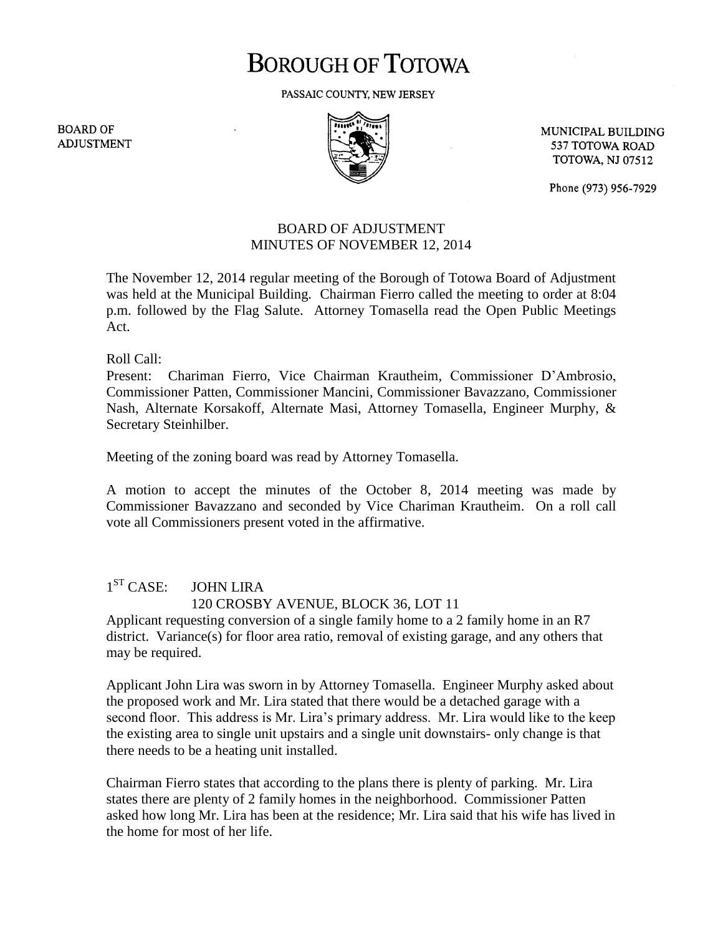# **BOROUGH OF TOTOWA**

PASSAIC COUNTY, NEW JERSEY

**BOARD OF ADJUSTMENT** 



MUNICIPAL BUILDING 537 TOTOWA ROAD **TOTOWA, NJ 07512** 

Phone (973) 956-7929

## BOARD OF ADJUSTMENT MINUTES OF NOVEMBER 12, 2014

The November 12, 2014 regular meeting of the Borough of Totowa Board of Adjustment was held at the Municipal Building. Chairman Fierro called the meeting to order at 8:04 p.m. followed by the Flag Salute. Attorney Tomasella read the Open Public Meetings Act.

Roll Call:

Present: Chariman Fierro, Vice Chairman Krautheim, Commissioner D'Ambrosio, Commissioner Patten, Commissioner Mancini, Commissioner Bavazzano, Commissioner Nash, Alternate Korsakoff, Alternate Masi, Attorney Tomasella, Engineer Murphy, & Secretary Steinhilber.

Meeting of the zoning board was read by Attorney Tomasella.

A motion to accept the minutes of the October 8, 2014 meeting was made by Commissioner Bavazzano and seconded by Vice Chariman Krautheim. On a roll call vote all Commissioners present voted in the affirmative.

## $1^{ST}$  CASE: **JOHN LIRA** 120 CROSBY AVENUE, BLOCK 36, LOT 11

Applicant requesting conversion of a single family home to a 2 family home in an R7 district. Variance(s) for floor area ratio, removal of existing garage, and any others that may be required.

Applicant John Lira was sworn in by Attorney Tomasella. Engineer Murphy asked about the proposed work and Mr. Lira stated that there would be a detached garage with a second floor. This address is Mr. Lira's primary address. Mr. Lira would like to the keep the existing area to single unit upstairs and a single unit downstairs- only change is that there needs to be a heating unit installed.

Chairman Fierro states that according to the plans there is plenty of parking. Mr. Lira states there are plenty of 2 family homes in the neighborhood. Commissioner Patten asked how long Mr. Lira has been at the residence; Mr. Lira said that his wife has lived in the home for most of her life.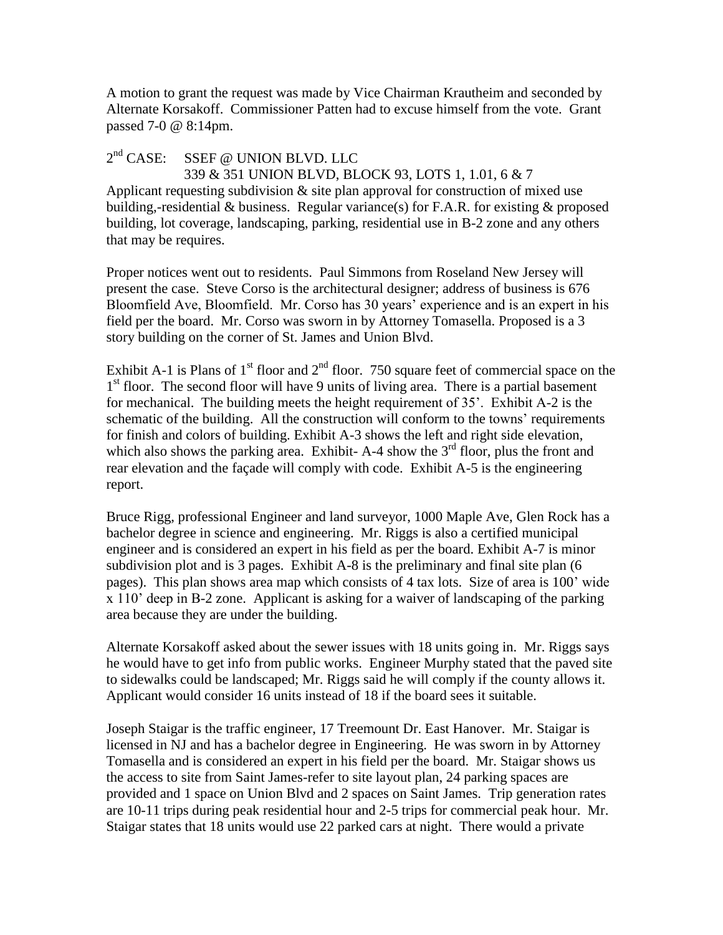A motion to grant the request was made by Vice Chairman Krautheim and seconded by Alternate Korsakoff. Commissioner Patten had to excuse himself from the vote. Grant passed 7-0 @ 8:14pm.

#### $2<sup>nd</sup> CASE:$ SSEF @ UNION BLVD. LLC

 339 & 351 UNION BLVD, BLOCK 93, LOTS 1, 1.01, 6 & 7 Applicant requesting subdivision  $\&$  site plan approval for construction of mixed use building,-residential & business. Regular variance(s) for F.A.R. for existing & proposed building, lot coverage, landscaping, parking, residential use in B-2 zone and any others that may be requires.

Proper notices went out to residents. Paul Simmons from Roseland New Jersey will present the case. Steve Corso is the architectural designer; address of business is 676 Bloomfield Ave, Bloomfield. Mr. Corso has 30 years' experience and is an expert in his field per the board. Mr. Corso was sworn in by Attorney Tomasella. Proposed is a 3 story building on the corner of St. James and Union Blvd.

Exhibit A-1 is Plans of  $1<sup>st</sup>$  floor and  $2<sup>nd</sup>$  floor. 750 square feet of commercial space on the 1<sup>st</sup> floor. The second floor will have 9 units of living area. There is a partial basement for mechanical. The building meets the height requirement of 35'. Exhibit A-2 is the schematic of the building. All the construction will conform to the towns' requirements for finish and colors of building. Exhibit A-3 shows the left and right side elevation, which also shows the parking area. Exhibit- A-4 show the  $3<sup>rd</sup>$  floor, plus the front and rear elevation and the façade will comply with code. Exhibit A-5 is the engineering report.

Bruce Rigg, professional Engineer and land surveyor, 1000 Maple Ave, Glen Rock has a bachelor degree in science and engineering. Mr. Riggs is also a certified municipal engineer and is considered an expert in his field as per the board. Exhibit A-7 is minor subdivision plot and is 3 pages. Exhibit A-8 is the preliminary and final site plan (6 pages). This plan shows area map which consists of 4 tax lots. Size of area is 100' wide x 110' deep in B-2 zone. Applicant is asking for a waiver of landscaping of the parking area because they are under the building.

Alternate Korsakoff asked about the sewer issues with 18 units going in. Mr. Riggs says he would have to get info from public works. Engineer Murphy stated that the paved site to sidewalks could be landscaped; Mr. Riggs said he will comply if the county allows it. Applicant would consider 16 units instead of 18 if the board sees it suitable.

Joseph Staigar is the traffic engineer, 17 Treemount Dr. East Hanover. Mr. Staigar is licensed in NJ and has a bachelor degree in Engineering. He was sworn in by Attorney Tomasella and is considered an expert in his field per the board. Mr. Staigar shows us the access to site from Saint James-refer to site layout plan, 24 parking spaces are provided and 1 space on Union Blvd and 2 spaces on Saint James. Trip generation rates are 10-11 trips during peak residential hour and 2-5 trips for commercial peak hour. Mr. Staigar states that 18 units would use 22 parked cars at night. There would a private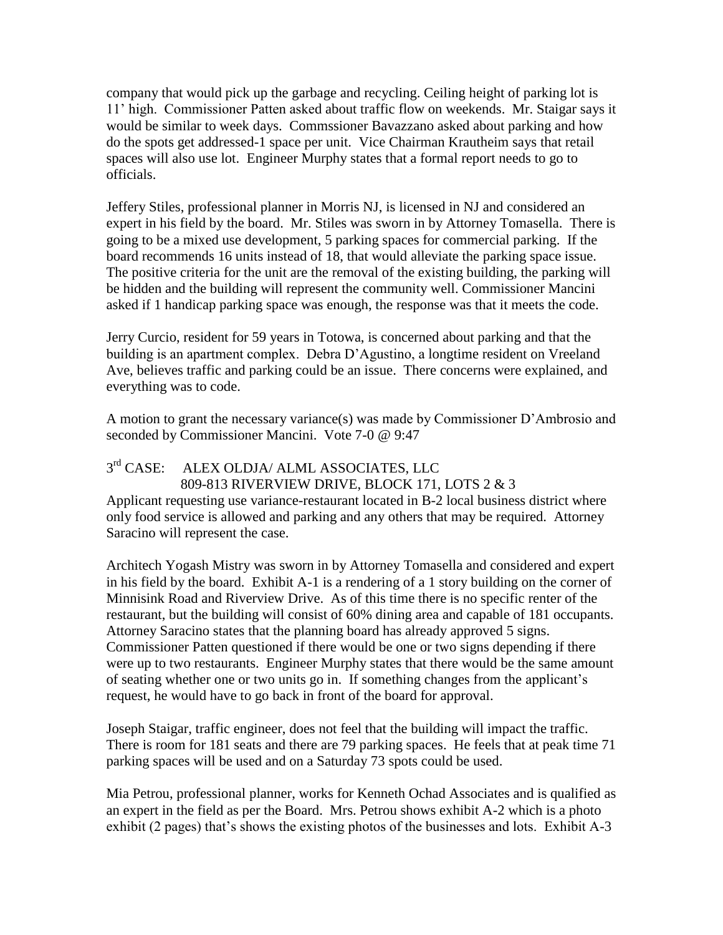company that would pick up the garbage and recycling. Ceiling height of parking lot is 11' high. Commissioner Patten asked about traffic flow on weekends. Mr. Staigar says it would be similar to week days. Commssioner Bavazzano asked about parking and how do the spots get addressed-1 space per unit. Vice Chairman Krautheim says that retail spaces will also use lot. Engineer Murphy states that a formal report needs to go to officials.

Jeffery Stiles, professional planner in Morris NJ, is licensed in NJ and considered an expert in his field by the board. Mr. Stiles was sworn in by Attorney Tomasella. There is going to be a mixed use development, 5 parking spaces for commercial parking. If the board recommends 16 units instead of 18, that would alleviate the parking space issue. The positive criteria for the unit are the removal of the existing building, the parking will be hidden and the building will represent the community well. Commissioner Mancini asked if 1 handicap parking space was enough, the response was that it meets the code.

Jerry Curcio, resident for 59 years in Totowa, is concerned about parking and that the building is an apartment complex. Debra D'Agustino, a longtime resident on Vreeland Ave, believes traffic and parking could be an issue. There concerns were explained, and everything was to code.

A motion to grant the necessary variance(s) was made by Commissioner D'Ambrosio and seconded by Commissioner Mancini. Vote 7-0 @ 9:47

### $3<sup>rd</sup> CASE:$ ALEX OLDJA/ ALML ASSOCIATES, LLC 809-813 RIVERVIEW DRIVE, BLOCK 171, LOTS 2 & 3

Applicant requesting use variance-restaurant located in B-2 local business district where only food service is allowed and parking and any others that may be required. Attorney Saracino will represent the case.

Architech Yogash Mistry was sworn in by Attorney Tomasella and considered and expert in his field by the board. Exhibit A-1 is a rendering of a 1 story building on the corner of Minnisink Road and Riverview Drive. As of this time there is no specific renter of the restaurant, but the building will consist of 60% dining area and capable of 181 occupants. Attorney Saracino states that the planning board has already approved 5 signs. Commissioner Patten questioned if there would be one or two signs depending if there were up to two restaurants. Engineer Murphy states that there would be the same amount of seating whether one or two units go in. If something changes from the applicant's request, he would have to go back in front of the board for approval.

Joseph Staigar, traffic engineer, does not feel that the building will impact the traffic. There is room for 181 seats and there are 79 parking spaces. He feels that at peak time 71 parking spaces will be used and on a Saturday 73 spots could be used.

Mia Petrou, professional planner, works for Kenneth Ochad Associates and is qualified as an expert in the field as per the Board. Mrs. Petrou shows exhibit A-2 which is a photo exhibit (2 pages) that's shows the existing photos of the businesses and lots. Exhibit A-3